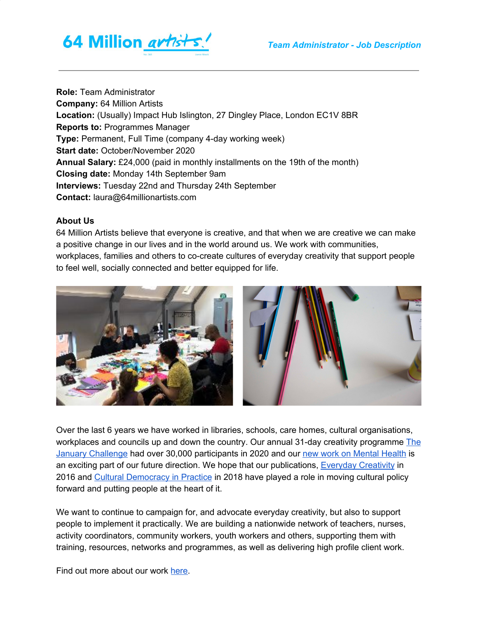

**Role:** Team Administrator **Company:** 64 Million Artists **Location:** (Usually) Impact Hub Islington, 27 Dingley Place, London EC1V 8BR **Reports to:** Programmes Manager **Type:** Permanent, Full Time (company 4-day working week) **Start date:** October/November 2020 **Annual Salary:** £24,000 (paid in monthly installments on the 19th of the month) **Closing date:** Monday 14th September 9am **Interviews:** Tuesday 22nd and Thursday 24th September **Contact:** laura@64millionartists.com

#### **About Us**

64 Million Artists believe that everyone is creative, and that when we are creative we can make a positive change in our lives and in the world around us. We work with communities, workplaces, families and others to co-create cultures of everyday creativity that support people to feel well, socially connected and better equipped for life.



Over the last 6 years we have worked in libraries, schools, care homes, cultural organisations, workplaces and councils up and down the country. Our annual 31-day creativity programme [The](https://64millionartists.com/our-work/the-january-challenge/) January [Challenge](https://64millionartists.com/our-work/the-january-challenge/) had over 30,000 participants in 2020 and our new work on [Mental](https://64millionartists.com/our-work/creativity-in-mind/) Health is an exciting part of our future direction. We hope that our publications, [Everyday](https://64millionartists.com/everyday-creativity-2/) Creativity in 2016 and Cultural [Democracy](https://64millionartists.com/our-work/cultural-democracy/) in Practice in 2018 have played a role in moving cultural policy forward and putting people at the heart of it.

We want to continue to campaign for, and advocate everyday creativity, but also to support people to implement it practically. We are building a nationwide network of teachers, nurses, activity coordinators, community workers, youth workers and others, supporting them with training, resources, networks and programmes, as well as delivering high profile client work.

Find out more about our work [here.](https://64millionartists.com/)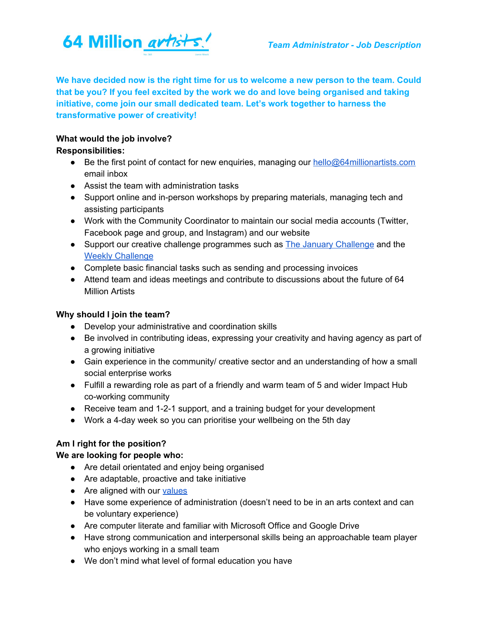

**We have decided now is the right time for us to welcome a new person to the team. Could that be you? If you feel excited by the work we do and love being organised and taking initiative, come join our small dedicated team. Let's work together to harness the transformative power of creativity!**

### **What would the job involve?**

### **Responsibilities:**

- Be the first point of contact for new enquiries, managing our [hello@64millionartists.com](mailto:hello@64millionartists.com) email inbox
- Assist the team with administration tasks
- Support online and in-person workshops by preparing materials, managing tech and assisting participants
- Work with the Community Coordinator to maintain our social media accounts (Twitter, Facebook page and group, and Instagram) and our website
- Support our creative challenge programmes such as **The January [Challenge](https://64millionartists.com/our-work/the-january-challenge/)** and the Weekly [Challenge](http://dothinkshare.com/creative-inspiration/the-weekly-challenge/)
- Complete basic financial tasks such as sending and processing invoices
- Attend team and ideas meetings and contribute to discussions about the future of 64 Million Artists

# **Why should I join the team?**

- Develop your administrative and coordination skills
- Be involved in contributing ideas, expressing your creativity and having agency as part of a growing initiative
- Gain experience in the community/ creative sector and an understanding of how a small social enterprise works
- Fulfill a rewarding role as part of a friendly and warm team of 5 and wider Impact Hub co-working community
- Receive team and 1-2-1 support, and a training budget for your development
- Work a 4-day week so you can prioritise your wellbeing on the 5th day

# **Am I right for the position?**

# **We are looking for people who:**

- Are detail orientated and enjoy being organised
- Are adaptable, proactive and take initiative
- Are aligned with our [values](https://64millionartists.com/about/)
- Have some experience of administration (doesn't need to be in an arts context and can be voluntary experience)
- Are computer literate and familiar with Microsoft Office and Google Drive
- Have strong communication and interpersonal skills being an approachable team player who enjoys working in a small team
- We don't mind what level of formal education you have